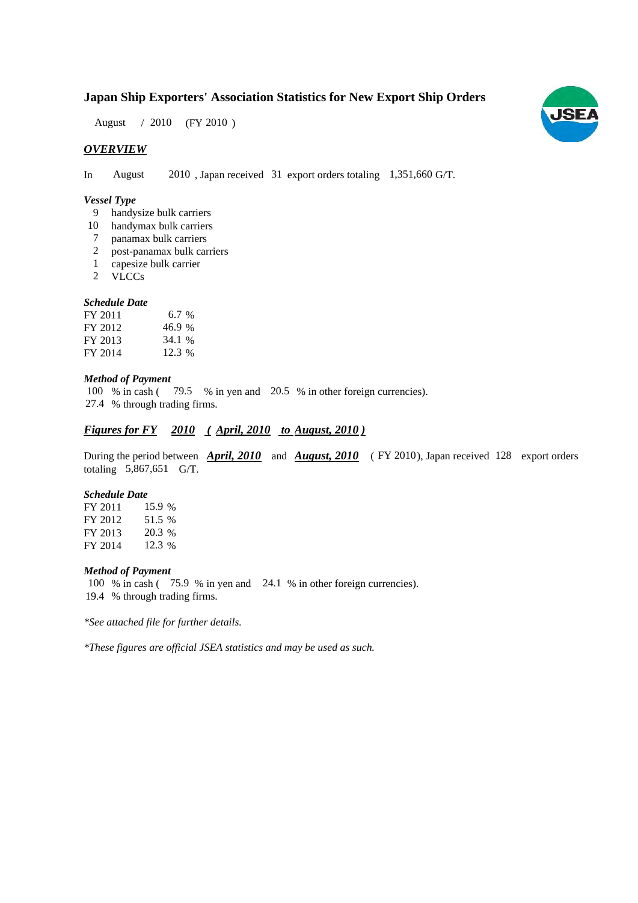# **Japan Ship Exporters' Association Statistics for New Export Ship Orders**

August / 2010 (FY 2010)

## *OVERVIEW*

In August 2010, Japan received 31 export orders totaling 1,351,660 G/T.

## *Vessel Type*

- handysize bulk carriers 9
- 10 handymax bulk carriers
- panamax bulk carriers 7
- post-panamax bulk carriers 2
- capesize bulk carrier 1
- VLCCs 2

## *Schedule Date*

| FY 2011 | $6.7\%$ |
|---------|---------|
| FY 2012 | 46.9%   |
| FY 2013 | 34.1 %  |
| FY 2014 | 12.3 %  |

#### *Method of Payment*

100 % in cash (79.5 % in yen and 20.5 % in other foreign currencies). % through trading firms. 27.4

# *Figures for FY* 2010 (*April, 2010 to August, 2010*)

During the period between **April, 2010** and **August, 2010** (FY 2010), Japan received 128 export orders totaling  $5,867,651$  G/T.

## *Schedule Date*

FY 2011 FY 2012 FY 2013 FY 2014 15.9 % 51.5 20.3 12.3 %

#### *Method of Payment*

100 % in cash (75.9 % in yen and 24.1 % in other foreign currencies). % through trading firms. 19.4

*\*See attached file for further details.*

*\*These figures are official JSEA statistics and may be used as such.*

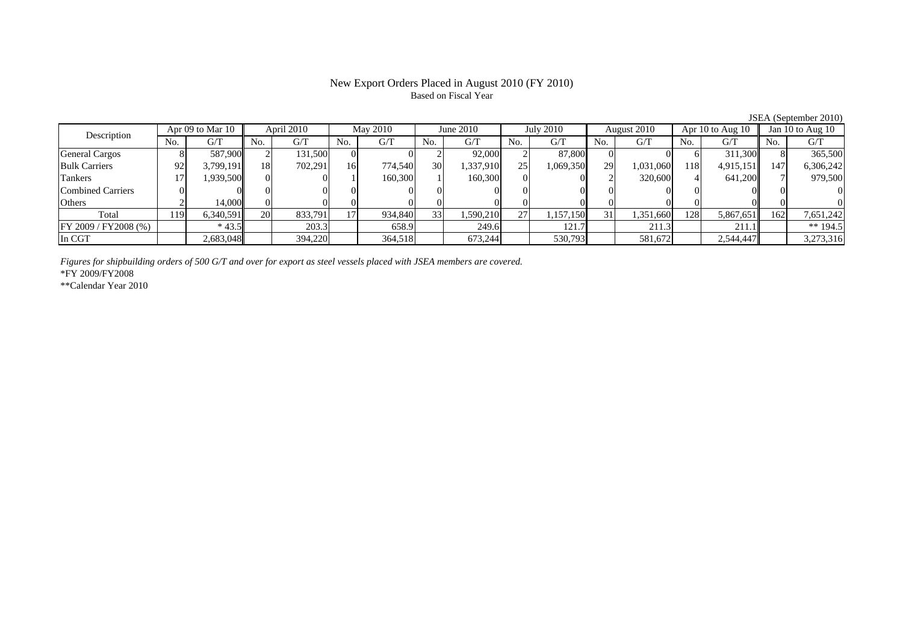# New Export Orders Placed in August 2010 (FY 2010) Based on Fiscal Year

JSEA (September 2010)

|                       |      |                  |           |            |                 |          |                 |             |     |                  |     |             |      |                      |     | JOEA (OUDIGHOU ZUTU) |
|-----------------------|------|------------------|-----------|------------|-----------------|----------|-----------------|-------------|-----|------------------|-----|-------------|------|----------------------|-----|----------------------|
| Description           |      | Apr 09 to Mar 10 |           | April 2010 |                 | May 2010 |                 | June $2010$ |     | <b>July 2010</b> |     | August 2010 |      | Apr $10$ to Aug $10$ |     | Jan 10 to Aug 10     |
|                       |      | G/T              | No.       | G/T        | No.             | G/T      | No.             | G/T         | No. | G/T              | No. | G/T         | No.  | G/T                  | No. | G/T                  |
| <b>General Cargos</b> |      | 587,900          |           | 131,500    |                 |          |                 | 92,000      |     | 87,800           |     |             |      | 311.300              |     | 365,500              |
| <b>Bulk Carriers</b>  | 92   | 3.799.191        | 18        | 702.291    | 16              | 774,540  | 30              | 1,337,910   | 25  | 1,069,350        | 29  | 1,031,060   | 1181 | 4,915,151            | 147 | 6,306,242            |
| Tankers               |      | .939,500         |           |            |                 | 160,300  |                 | 160,300     |     |                  |     | 320,600     |      | 641,200              |     | 979,500              |
| Combined Carriers     |      |                  |           |            |                 |          |                 |             |     |                  |     |             |      |                      |     |                      |
| Others                |      | 14.000           |           |            |                 |          |                 |             |     |                  |     |             |      |                      |     |                      |
| Total                 | 119' | 6,340,591        | <b>20</b> | 833,791    | 17 <sub>1</sub> | 934,840  | 33 <sup>1</sup> | 1,590,210   | 27  | 1,157,150        | 31  | 1,351,660   | 128  | 5,867,651            | 162 | 7,651,242            |
| FY 2009 / FY 2008 (%) |      | $*43.5$          |           | 203.3      |                 | 658.9    |                 | 249.6       |     | 121.7            |     | 211.3       |      | 211.1                |     | ** $194.5$           |
| In CGT                |      | 2,683,048        |           | 394,220    |                 | 364,518  |                 | 673,244     |     | 530,793          |     | 581,672     |      | 2,544,447            |     | 3,273,316            |

*Figures for shipbuilding orders of 500 G/T and over for export as steel vessels placed with JSEA members are covered.*

\*FY 2009/FY2008

\*\*Calendar Year 2010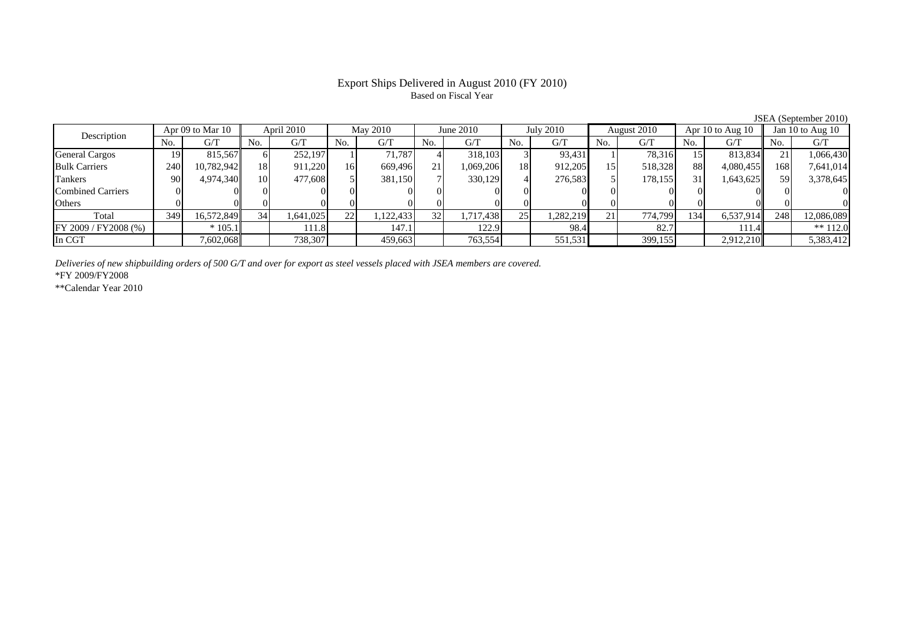# Export Ships Delivered in August 2010 (FY 2010) Based on Fiscal Year

JSEA (September 2010)

| Description              | Apr 09 to Mar 10 |            | April 2010 |           | May 2010 |           | June 2010       |           | July 2010 |           | August 2010    |         | Apr 10 to Aug $10$ |           | Jan 10 to Aug 10 |            |
|--------------------------|------------------|------------|------------|-----------|----------|-----------|-----------------|-----------|-----------|-----------|----------------|---------|--------------------|-----------|------------------|------------|
|                          | No.              | G/T        | No.        | G/T       | No.      | G/T       | No.             | G/T       | No.       | G/T       | N <sub>0</sub> | G/T     | No.                | G/T       | No.              | G/T        |
| <b>General Cargos</b>    | 19.              | 815.567    | 61         | 252,197   |          | 71.787    |                 | 318,103   |           | 93,431    |                | 78.316  |                    | 813,834   | $\mathcal{D}$ 1  | 1,066,430  |
| <b>Bulk Carriers</b>     | 240              | 10,782,942 | <b>18</b>  | 911,220   | 16       | 669,496   | 21              | .069,206  | 18        | 912,205   | 15             | 518,328 | 88                 | 4,080,455 | 168              | 7,641,014  |
| Tankers                  | 90               | 4,974,340  | 10         | 477,608   |          | 381,150   |                 | 330,129   |           | 276,583   |                | 178,155 | 31                 | 1,643,625 |                  | 3,378,645  |
| <b>Combined Carriers</b> |                  |            | $\Omega$   |           |          |           |                 |           |           |           |                |         |                    |           |                  |            |
| Others                   |                  |            |            |           |          |           |                 | 01        |           |           |                |         |                    |           |                  |            |
| Total                    | 349              | 16,572,849 | 34         | 1,641,025 | 22       | 1,122,433 | 32 <sub>1</sub> | 1,717,438 | 25        | 1,282,219 | 21             | 774.799 | 134                | 6,537,914 | 248              | 12,086,089 |
| FY 2009 / FY 2008 (%)    |                  | $*105.1$   |            | 111.8     |          | 147.1     |                 | 122.9     |           | 98.4      |                | 82.7    |                    | 111.4     |                  | ** $112.0$ |
| In CGT                   |                  | 7,602,068  |            | 738,307   |          | 459,663   |                 | 763,554   |           | 551,531   |                | 399,155 |                    | 2,912,210 |                  | 5,383,412  |

*Deliveries of new shipbuilding orders of 500 G/T and over for export as steel vessels placed with JSEA members are covered.*

\*FY 2009/FY2008

\*\*Calendar Year 2010